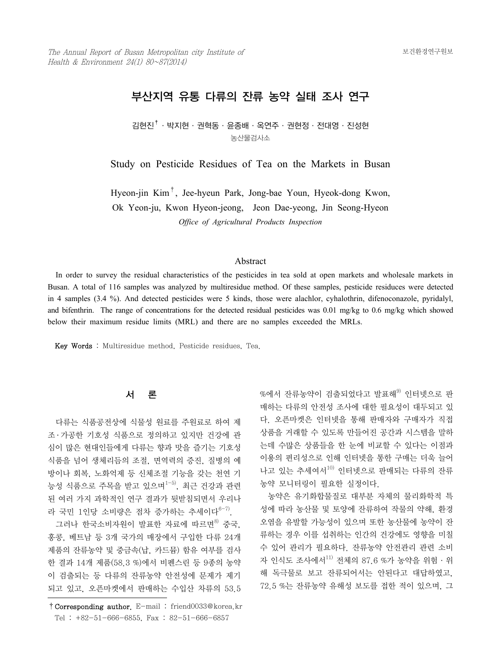# 부산지역 유통 다류의 잔류 농약 실태 조사 연구

김현진†·박지현·권혁동·윤종배·옥연주·권현정·전대영·진성현 농산물검사소

Study on Pesticide Residues of Tea on the Markets in Busan

Hyeon-jin Kim†, Jee-hyeun Park, Jong-bae Youn, Hyeok-dong Kwon, Ok Yeon-ju, Kwon Hyeon-jeong, Jeon Dae-yeong, Jin Seong-Hyeon *Office of Agricultural Products Inspection*

#### Abstract

 In order to survey the residual characteristics of the pesticides in tea sold at open markets and wholesale markets in Busan. A total of 116 samples was analyzed by multiresidue method. Of these samples, pesticide residuces were detected in 4 samples (3.4 %). And detected pesticides were 5 kinds, those were alachlor, cyhalothrin, difenoconazole, pyridalyl, and bifenthrin. The range of concentrations for the detected residual pesticides was 0.01 mg/kg to 0.6 mg/kg which showed below their maximum residue limits (MRL) and there are no samples exceeded the MRLs.

Key Words : Multiresidue method, Pesticide residues, Tea.

## 서 론

 다류는 식품공전상에 식물성 원료를 주원료로 하여 제 조 ․ 가공한 기호성 식품으로 정의하고 있지만 건강에 관 심이 많은 현대인들에게 다류는 향과 맛을 즐기는 기호성 식품을 넘어 생체리듬의 조절, 면역력의 증진, 질병의 예 방이나 회복, 노화억제 등 신체조절 기능을 갖는 천연 기 능성 식품으로 주목을 받고 있으며1-5), 최근 건강과 관련 된 여러 가지 과학적인 연구 결과가 뒷받침되면서 우리나 라 국민 1인당 소비량은 점차 증가하는 추세이다<sup>6-7)</sup>.

그러나 한국소비자원이 발표한 자료에 따르면<sup>8)</sup> 중국, 홍콩, 베트남 등 3개 국가의 매장에서 구입한 다류 24개 제품의 잔류농약 및 중금속(납, 카드뮴) 함유 여부를 검사 한 결과 14개 제품(58.3 %)에서 비펜스린 등 9종의 농약 이 검출되는 등 다류의 잔류농약 안전성에 문제가 제기 되고 있고, 오픈마켓에서 판매하는 수입산 차류의 53.5

%에서 자류농약이 검출되었다고 발표해<sup>9)</sup> 이터넷으로 판 매하는 다류의 안전성 조사에 대한 필요성이 대두되고 있 다. 오픈마켓은 인터넷을 통해 판매자와 구매자가 직접 상품을 거래할 수 있도록 만들어진 공간과 시스템을 말하 는데 수많은 상품들을 한 눈에 비교할 수 있다는 이점과 이용의 편리성으로 인해 인터넷을 통한 구매는 더욱 늘어 나고 있는 추세여서<sup>10)</sup> 인터넷으로 판매되는 다류의 잔류 농약 모니터링이 필요한 실정이다.

 농약은 유기화합물질로 대부분 자체의 물리화학적 특 성에 따라 농산물 및 토양에 잔류하여 작물의 약해, 환경 오염을 유발할 가능성이 있으며 또한 농산물에 농약이 잔 류하는 경우 이를 섭취하는 인간의 건강에도 영향을 미칠 수 있어 관리가 필요하다. 잔류농약 안전관리 관련 소비 자 인식도 조사에서 $^{11)}$  전체의 87.6 %가 농약을 위험 · 위 해 독극물로 보고 잔류되어서는 안된다고 대답하였고, 72.5 %는 잔류농약 유해성 보도를 접한 적이 있으며, 그

<sup>†</sup>Corresponding author. E-mail : friend0033@korea.kr Tel : +82-51-666-6855, Fax : 82-51-666-6857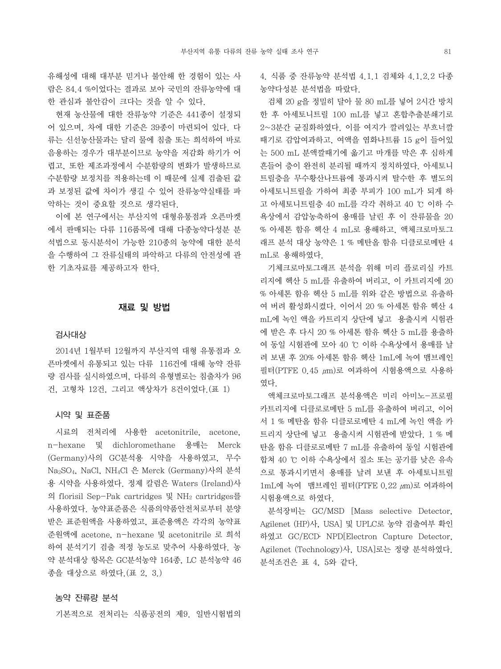유해성에 대해 대부분 믿거나 불안해 한 경험이 있는 사 람은 84.4 %이었다는 결과로 보아 국민의 잔류농약에 대 한 관심과 불안감이 크다는 것을 알 수 있다.

 현재 농산물에 대한 잔류농약 기준은 441종이 설정되 어 있으며, 차에 대한 기준은 39종이 마련되어 있다. 다 류는 신선농산물과는 달리 물에 침출 또는 희석하여 바로 음용하는 경우가 대부분이므로 농약을 저감화 하기가 어 렵고, 또한 제조과정에서 수분함량의 변화가 발생하므로 수분함량 보정치를 적용하는데 이 때문에 실제 검출된 값 과 보정된 값에 차이가 생길 수 있어 잔류농약실태를 파 악하는 것이 중요할 것으로 생각된다.

 이에 본 연구에서는 부산지역 대형유통점과 오픈마켓 에서 판매되는 다류 116품목에 대해 다종농약다성분 분 석법으로 동시분석이 가능한 210종의 농약에 대한 분석 을 수행하여 그 잔류실태의 파악하고 다류의 안전성에 관 한 기초자료를 제공하고자 한다.

## 재료 및 방법

#### 검사대상

 2014년 1월부터 12월까지 부산지역 대형 유통점과 오 픈마켓에서 유통되고 있는 다류 116건에 대해 농약 잔류 량 검사를 실시하였으며, 다류의 유형별로는 침출차가 96 건, 고형차 12건, 그리고 액상차가 8건이었다.(표 1)

#### 시약 및 표준품

 시료의 전처리에 사용한 acetonitrile, acetone, n-hexane 및 dichloromethane 용매는 Merck (Germany)사의 GC분석용 시약을 사용하였고, 무수 Na2SO4, NaCl, NH4Cl 은 Merck (Germany)사의 분석 용 시약을 사용하였다. 정제 칼럼은 Waters (Ireland)사 의 florisil Sep-Pak cartridges 및 NH2 cartridges를 사용하였다. 농약표준품은 식품의약품안전처로부터 분양 받은 표준원액을 사용하였고, 표준용액은 각각의 농약표 준원액에 acetone, n-hexane 및 acetonitrile 로 희석 하여 분석기기 검출 적정 농도로 맞추어 사용하였다. 농 약 분석대상 항목은 GC분석농약 164종, LC 분석농약 46 종을 대상으로 하였다.(표 2, 3.)

#### 농약 잔류량 분석

기본적으로 전처리는 식품공전의 제9. 일반시험법의

4. 식품 중 잔류농약 분석법 4.1.1 검체와 4.1.2.2 다종 농약다성분 분석법을 따랐다.

 검체 20 g을 정밀히 달아 물 80 mL를 넣어 2시간 방치 한 후 아세토니트릴 100 mL를 넣고 혼합추출분쇄기로 2~3분간 균질화하였다. 이를 여지가 깔려있는 부흐너깔 때기로 감압여과하고, 여액을 염화나트륨 15 g이 들어있 는 500 mL 분액깔때기에 옮기고 마개를 막은 후 심하게 흔들어 층이 완전히 분리될 때까지 정치하였다. 아세토니 트릴층을 무수황산나트륨에 통과시켜 탈수한 후 별도의 아세토니트릴을 가하여 최종 부피가 100 mL가 되게 하 고 아세토니트릴층 40 mL를 각각 취하고 40 ℃ 이하 수 욕상에서 감압농축하여 용매를 날린 후 이 잔류물을 20 % 아세톤 함유 헥산 4 mL로 용해하고, 액체크로마토그 래프 분석 대상 농약은 1 % 메탄올 함유 디클로로메탄 4 mL로 용해하였다.

 기체크로마토그래프 분석을 위해 미리 플로리실 카트 리지에 헥산 5 mL를 유출하여 버리고, 이 카트리지에 20 % 아세톤 함유 헥산 5 mL를 위와 같은 방법으로 유출하 여 버려 활성화시켰다. 이어서 20 % 아세톤 함유 헥산 4 mL에 녹인 액을 카트리지 상단에 넣고 용출시켜 시험관 에 받은 후 다시 20 % 아세톤 함유 헥산 5 mL를 용출하 여 동일 시험관에 모아 40 ℃ 이하 수욕상에서 용매를 날 려 보낸 후 20% 아세톤 함유 헥산 1mL에 녹여 맴브레인 필터(PTFE 0.45 μm)로 여과하여 시험용액으로 사용하 였다.

 액체크로마토그래프 분석용액은 미리 아미노-프로필 카트리지에 디클로로메탄 5 mL를 유출하여 버리고, 이어 서 1 % 메탄올 함유 디클로로메탄 4 mL에 녹인 액을 카 트리지 상단에 넣고 용출시켜 시험관에 받았다. 1 % 메 탄올 함유 디클로로메탄 7 mL를 유출하여 동일 시험관에 합쳐 40 ℃ 이하 수욕상에서 질소 또는 공기를 낮은 유속 으로 통과시키면서 용매를 날려 보낸 후 아세토니트릴 1mL에 녹여 맴브레인 필터(PTFE 0.22 μm)로 여과하여 시험용액으로 하였다.

 분석장비는 GC/MSD [Mass selective Detector, Agilenet (HP)사, USA] 및 UPLC로 농약 검출여부 확인 하였고 GC/ECD․ NPD[Electron Capture Detector, Agilenet (Technology)사, USA]로는 정량 분석하였다. 분석조건은 표 4, 5와 같다.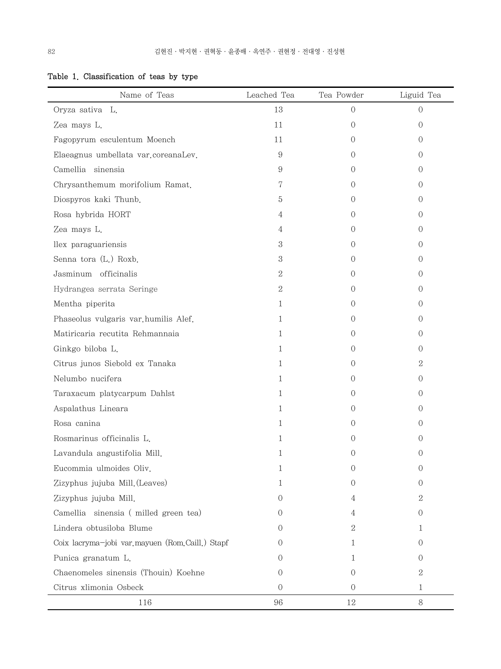|  |  | Table 1. Classification of teas by type |  |  |  |  |
|--|--|-----------------------------------------|--|--|--|--|
|--|--|-----------------------------------------|--|--|--|--|

| Name of Teas                                    | Leached Tea    | Tea Powder       | Liguid Tea       |
|-------------------------------------------------|----------------|------------------|------------------|
| Oryza sativa L.                                 | 13             | $\Omega$         | $\Omega$         |
| Zea mays L.                                     | 11             | 0                | $\Omega$         |
| Fagopyrum esculentum Moench                     | 11             | $\left( \right)$ | 0                |
| Elaeagnus umbellata var.coreanaLev.             | 9              | $\left( \right)$ | 0                |
| Camellia sinensia                               | 9              | $\left( \right)$ | 0                |
| Chrysanthemum morifolium Ramat.                 | 7              | $\left( \right)$ | $\Omega$         |
| Diospyros kaki Thunb.                           | 5              | $\left( \right)$ | 0                |
| Rosa hybrida HORT                               | 4              | $\left( \right)$ | 0                |
| Zea mays L.                                     | 4              | $\left( \right)$ | 0                |
| llex paraguariensis                             | 3              | $\left( \right)$ | 0                |
| Senna tora (L.) Roxb.                           | 3              | $\Omega$         | 0                |
| Jasminum officinalis                            | 2              | 0                | $\Omega$         |
| Hydrangea serrata Seringe                       | $\sqrt{2}$     | 0                | 0                |
| Mentha piperita                                 | $\mathbf{1}$   | 0                | 0                |
| Phaseolus vulgaris var.humilis Alef.            | 1              | $\left( \right)$ | 0                |
| Matiricaria recutita Rehmannaia                 | 1              | 0                | 0                |
| Ginkgo biloba L.                                | 1              | $\left( \right)$ | 0                |
| Citrus junos Siebold ex Tanaka                  | 1              | 0                | 2                |
| Nelumbo nucifera                                | 1              | $\left( \right)$ | 0                |
| Taraxacum platycarpum Dahlst                    | 1              | $\left( \right)$ | 0                |
| Aspalathus Lineara                              | 1              | $\left( \right)$ | 0                |
| Rosa canina                                     | 1.             | $\left( \right)$ | $\left( \right)$ |
| Rosmarinus officinalis L.                       | 1              | $\left( \right)$ | 0                |
| Lavandula angustifolia Mill.                    | 1              | 0                | 0                |
| Eucommia ulmoides Oliv.                         | 1              | 0                | $\theta$         |
| Zizyphus jujuba Mill. (Leaves)                  | 1              | $\left( \right)$ | 0                |
| Zizyphus jujuba Mill.                           | 0              | 4                | 2                |
| Camellia sinensia (milled green tea)            | 0              | 4                | 0                |
| Lindera obtusiloba Blume                        | $\Omega$       | 2                | 1                |
| Coix lacryma-jobi var.mayuen (Rom.Caill.) Stapf | 0              | 1                | $\Omega$         |
| Punica granatum L.                              | 0              | 1                | 0                |
| Chaenomeles sinensis (Thouin) Koehne            | 0              | $\Omega$         | 2                |
| Citrus xlimonia Osbeck                          | $\overline{O}$ | $\theta$         | 1                |
| 116                                             | 96             | 12               | $8\,$            |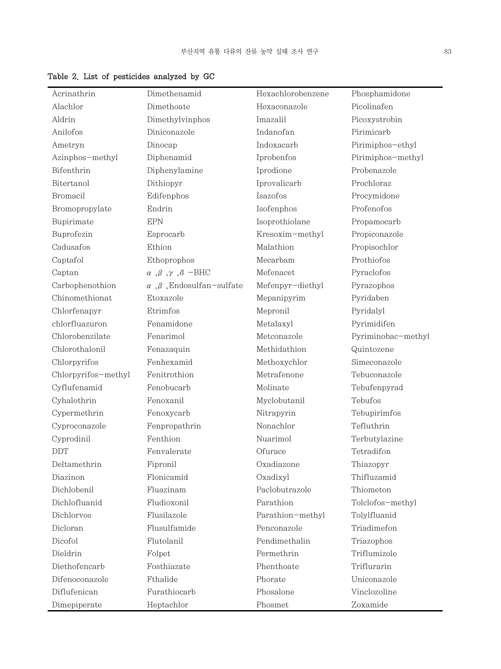| Acrinathrin         | Dimethenamid                                           | Hexachlorobenzene | Phosphamidone            |
|---------------------|--------------------------------------------------------|-------------------|--------------------------|
| Alachlor            | Dimethoate                                             | Hexaconazole      | Picolinafen              |
| Aldrin              | Dimethylvinphos                                        | Imazalil          | Picoxystrobin            |
| Anilofos            | Diniconazole                                           | Indanofan         | Pirimicarb               |
| Ametryn             | Dinocap                                                | Indoxacarb        | Pirimiphos-ethyl         |
| Azinphos-methyl     | Diphenamid                                             | Iprobenfos        | Pirimiphos-methyl        |
| Bifenthrin          | Diphenylamine                                          | Iprodione         | Probenazole              |
| Bitertanol          | Dithiopyr                                              | Iprovalicarb      | Prochloraz               |
| Bromacil            | Edifenphos                                             | Isazofos          | Procymidone              |
| Bromopropylate      | Endrin                                                 | Isofenphos        | Profenofos               |
| Bupirimate          | <b>EPN</b>                                             | Isoprothiolane    | Propamocarb              |
| Buprofezin          | Esprocarb                                              | Kresoxim-methyl   | Propiconazole            |
| Cadusafos           | Ethion                                                 | Malathion         | Propisochlor             |
| Captafol            | Ethoprophos                                            | Mecarbam          | Prothiofos               |
| Captan              | $\alpha$ ,<br>$\beta$ ,<br>$\gamma$ ,<br>$\delta$ –BHC | Mefenacet         | Pyraclofos               |
| Carbophenothion     | $\alpha$ , $\beta$ , Endosul<br>fan–sulfate            | Mefenpyr-diethyl  | Pyrazophos               |
| Chinomethionat      | Etoxazole                                              | Mepanipyrim       | Pyridaben                |
| Chlorfenapyr        | Etrimfos                                               | Mepronil          | Pyridalyl                |
| chlorfluazuron      | Fenamidone                                             | Metalaxyl         | Pyrimidifen              |
| Chlorobenzilate     | Fenarimol                                              | Metconazole       | Pyriminobac-methyl       |
| Chlorothalonil      | Fenazaquin                                             | Methidathion      | Quintozene               |
| Chlorpyrifos        | Fenhexamid                                             | Methoxychlor      | Simeconazole             |
| Chlorpyrifos-methyl | Fenitrothion                                           | Metrafenone       | Tebuconazole             |
| Cyflufenamid        | Fenobucarb                                             | Molinate          | Tebufenpyrad             |
| Cyhalothrin         | Fenoxanil                                              | Myclobutanil      | Tebufos                  |
| Cypermethrin        | Fenoxycarb                                             | Nitrapyrin        | Tebupirimfos             |
| Cyproconazole       | Fenpropathrin                                          | Nonachlor         | Tefluthrin               |
| Cyprodinil          | Fenthion                                               | Nuarimol          | Terbutylazine            |
| <b>DDT</b>          | Fenvalerate                                            | Ofurace           | Tetradifon               |
| Deltamethrin        | Fipronil                                               | Oxadiazone        | Thiazopyr                |
| Diazinon            | Flonicamid                                             | Oxadixyl          | Thifluzamid              |
| Dichlobenil         | Fluazinam                                              | Paclobutrazole    | Thiometon                |
| Dichlofluanid       | Fludioxonil                                            | Parathion         | ${\rm Tolclofos-methyl}$ |
| Dichlorvos          | Flusilazole                                            | Parathion-methyl  | Tolylfluanid             |
| Dicloran            | Flusulfamide                                           | Penconazole       | Triadimefon              |
| Dicofol             | Flutolanil                                             | Pendimethalin     | Triazophos               |
| Dieldrin            | Folpet                                                 | Permethrin        | Triflumizole             |
| Diethofencarb       | Fosthiazate                                            | Phenthoate        | Triflurarin              |
| Difenoconazole      | Fthalide                                               | Phorate           | Uniconazole              |
| Diflufenican        | Furathiocarb                                           | Phosalone         | Vinclozoline             |
| Dimepiperate        | Heptachlor                                             | Phosmet           | Zoxamide                 |

## Table 2. List of pesticides analyzed by GC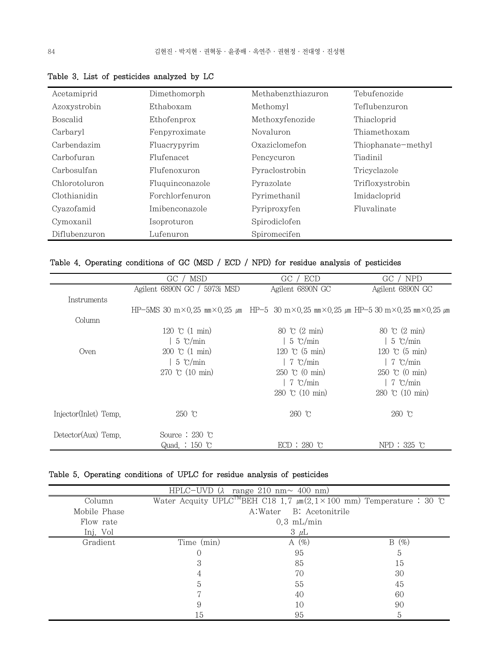| Acetamiprid     | Dimethomorph    | Methabenzthiazuron | Tebufenozide       |
|-----------------|-----------------|--------------------|--------------------|
| Azoxystrobin    | Ethaboxam       | Methomyl           | Teflubenzuron      |
| <b>Boscalid</b> | Ethofenprox     | Methoxyfenozide    | Thiacloprid        |
| Carbaryl        | Fenpyroximate   | Novaluron          | Thiamethoxam       |
| Carbendazim     | Fluacrypyrim    | Oxaziclomefon      | Thiophanate-methyl |
| Carbofuran      | Flufenacet      | Pencycuron         | Tiadinil           |
| Carbosulfan     | Flufenoxuron    | Pyraclostrobin     | Tricyclazole       |
| Chlorotoluron   | Fluguinconazole | Pyrazolate         | Trifloxystrobin    |
| Clothianidin    | Forchlorfenuron | Pyrimethanil       | Imidacloprid       |
| Cyazofamid      | Imibenconazole  | Pyriproxyfen       | Fluvalinate        |
| Cymoxanil       | Isoproturon     | Spirodiclofen      |                    |
| Diflubenzuron   | Lufenuron       | Spiromecifen       |                    |

Table 3. List of pesticides analyzed by LC

|  |  | Table 4. Operating conditions of GC (MSD / ECD / NPD) for residue analysis of pesticides |  |  |  |  |  |  |  |  |  |  |  |
|--|--|------------------------------------------------------------------------------------------|--|--|--|--|--|--|--|--|--|--|--|
|--|--|------------------------------------------------------------------------------------------|--|--|--|--|--|--|--|--|--|--|--|

|                              | MSD<br>GC.                                                                                                                            | GC / ECD                          | NPD <sup>1</sup><br>$GC$ /    |
|------------------------------|---------------------------------------------------------------------------------------------------------------------------------------|-----------------------------------|-------------------------------|
|                              | Agilent 6890N GC / 5973i MSD                                                                                                          | Agilent 6890N GC                  | Agilent 6890N GC              |
| Instruments                  |                                                                                                                                       |                                   |                               |
|                              | HP-5MS 30 m $\times$ 0.25 mm $\times$ 0.25 μm HP-5 30 m $\times$ 0.25 mm $\times$ 0.25 μm HP-5 30 m $\times$ 0.25 mm $\times$ 0.25 μm |                                   |                               |
| Column                       |                                                                                                                                       |                                   |                               |
|                              | 120 °C $(1 \text{ min})$                                                                                                              | 80 °C $(2 \text{ min})$           | 80 °C $(2 \text{ min})$       |
|                              | $5 \text{°C/min}$                                                                                                                     | $5 \degree$ C/min                 | $5 \text{°C/min}$             |
| Oven                         | $200 \text{ °C} (1 \text{ min})$                                                                                                      | 120 °C $(5 \text{ min})$          | 120 °C $(5 \text{ min})$      |
|                              | $5 \text{°C/min}$                                                                                                                     | 7 °C/min                          | 7 $\degree$ C/min             |
|                              | 270 °C $(10 \text{ min})$                                                                                                             | $250$ °C (0 min)                  | $250$ °C (0 min)              |
|                              |                                                                                                                                       | 7 °C/min                          | $\frac{7}{2}$ $\degree$ C/min |
|                              |                                                                                                                                       | $280 \text{ °C} (10 \text{ min})$ | 280 °C $(10 \text{ min})$     |
| Injector(Inlet) Temp.        | $250$ °C                                                                                                                              | $260$ °C                          | $260$ °C                      |
| $\text{Detector}(Aux)$ Temp. | Source $: 230$ °C                                                                                                                     |                                   |                               |
|                              | Quad. $: 150$ °C                                                                                                                      | $ECD: 280$ r                      | $NPD: 325$ °C                 |

## Table 5. Operating conditions of UPLC for residue analysis of pesticides

| $HPLC-UVD$ ( $\lambda$<br>range 210 nm $\sim$ 400 nm) |            |                            |                                                                                      |  |  |  |  |
|-------------------------------------------------------|------------|----------------------------|--------------------------------------------------------------------------------------|--|--|--|--|
| Column                                                |            |                            | Water Acquity UPLC <sup>TM</sup> BEH C18 1.7 $\mu$ m(2.1×100 mm) Temperature : 30 °C |  |  |  |  |
| Mobile Phase                                          |            | A:Water<br>B: Acetonitrile |                                                                                      |  |  |  |  |
| Flow rate                                             |            | $0.3$ mL/min               |                                                                                      |  |  |  |  |
| Inj. Vol                                              |            | $3 \mu L$                  |                                                                                      |  |  |  |  |
| Gradient                                              | Time (min) | A $(\%)$                   | $(\%)$<br>B                                                                          |  |  |  |  |
|                                                       | O          | 95                         | 5                                                                                    |  |  |  |  |
|                                                       | 3          | 85                         | 15                                                                                   |  |  |  |  |
|                                                       |            | 70                         | 30                                                                                   |  |  |  |  |
|                                                       | 5          | 55                         | 45                                                                                   |  |  |  |  |
|                                                       |            | 40                         | 60                                                                                   |  |  |  |  |
|                                                       | 9          | 10                         | 90                                                                                   |  |  |  |  |
|                                                       | 15         | 95                         | 5                                                                                    |  |  |  |  |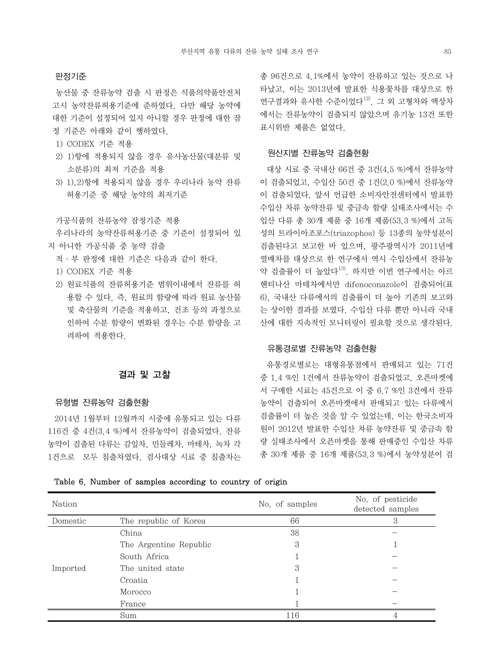#### 판정기준

 농산물 중 잔류농약 검출 시 판정은 식품의약품안전처 고시 농약잔류허용기준에 준하였다. 다만 해당 농약에 대한 기준이 설정되어 있지 아니할 경우 판정에 대한 잠 정 기준은 아래와 같이 행하였다.

- 1) CODEX 기준 적용
- 2) 1)항에 적용되지 않을 경우 유사농산물(대분류 및 소분류)의 최저 기준을 적용
- 3) 1),2)항에 적용되지 않을 경우 우리나라 농약 잔류 허용기준 중 해당 농약의 최저기준

가공식품의 잔류농약 잠정기준 적용

 우리나라의 농약잔류허용기준 중 기준이 설정되어 있 지 아니한 가공식품 중 농약 검출

- 적·부 판정에 대한 기준은 다음과 같이 한다.
- 1) CODEX 기준 적용
- 2) 원료식품의 잔류허용기준 범위이내에서 잔류를 허 용할 수 있다. 즉, 원료의 함량에 따라 원료 농산물 및 축산물의 기준을 적용하고, 건조 등의 과정으로 인하여 수분 함량이 변화된 경우는 수분 함량을 고 려하여 적용한다.

## 결과 및 고찰

#### 유형별 잔류농약 검출현황

2014년 1월부터 12월까지 시중에 유통되고 있는 다류 116건 중 4건(3.4 %)에서 잔류농약이 검출되었다. 잔류 농약이 검출된 다류는 감잎차, 민들레차, 마테차, 녹차 각 1건으로 모두 침출차였다. 검사대상 시료 중 침출차는 총 96건으로 4.1%에서 농약이 잔류하고 있는 것으로 나 타났고, 이는 2013년에 발표한 식용꽃차를 대상으로 한 연구결과와 유사한 수준이었다<sup>12)</sup>. 그 외 고형차와 액상차 에서는 잔류농약이 검출되지 않았으며 유기농 13건 또한 표시위반 제품은 없었다.

#### 원산지별 잔류농약 검출현황

대상 시료 중 국내산 66건 중 3건(4.5 %)에서 잔류농약 이 검출되었고, 수입산 50건 중 1건(2.0 %)에서 잔류농약 이 검출되었다. 앞서 언급한 소비자안전센터에서 발표한 수입산 차류 농약잔류 및 중금속 함량 실태조사에서는 수 입산 다류 총 30개 제품 중 16개 제품(53.3 %)에서 고독 성의 트라이아조포스(triazophos) 등 13종의 농약성분이 검출된다고 보고한 바 있으며, 광주광역시가 2011년에 열매차를 대상으로 한 연구에서 역시 수입산에서 잔류농 약 검출률이 더 높았다<sup>13)</sup>. 하지만 이번 연구에서는 아르 헨티나산 마테차에서만 difenoconazole이 검출되어(표 6), 국내산 다류에서의 검출률이 더 높아 기존의 보고와 는 상이한 결과를 보였다. 수입산 다류 뿐만 아니라 국내 산에 대한 지속적인 모니터링이 필요할 것으로 생각된다.

### 유통경로별 잔류농약 검출현황

유통경로별로는 대형유통점에서 판매되고 있는 71건 중 1.4 %인 1건에서 잔류농약이 검출되었고, 오픈마켓에 서 구매한 시료는 45건으로 이 중 6.7 %인 3건에서 잔류 농약이 검출되어 오픈마켓에서 판매되고 있는 다류에서 검출률이 더 높은 것을 알 수 있었는데, 이는 한국소비자 원이 2012년 발표한 수입산 차류 농약잔류 및 중금속 함 량 실태조사에서 오픈마켓을 통해 판매중인 수입산 차류 총 30개 제품 중 16개 제품(53.3 %)에서 농약성분이 검

|  |  |  |  |  | Table 6. Number of samples according to country of origin |  |  |  |  |
|--|--|--|--|--|-----------------------------------------------------------|--|--|--|--|
|--|--|--|--|--|-----------------------------------------------------------|--|--|--|--|

| Nation   |                        | No. of samples | No. of pesticide<br>detected samples |
|----------|------------------------|----------------|--------------------------------------|
| Domestic | The republic of Korea  | 66             | 3                                    |
|          | China                  | 38             |                                      |
|          | The Argentine Republic | 3              |                                      |
| Imported | South Africa           |                |                                      |
|          | The united state       | 3              |                                      |
|          | Croatia                |                |                                      |
|          | Morocco                |                |                                      |
|          | France                 |                |                                      |
|          | Sum                    | 116            |                                      |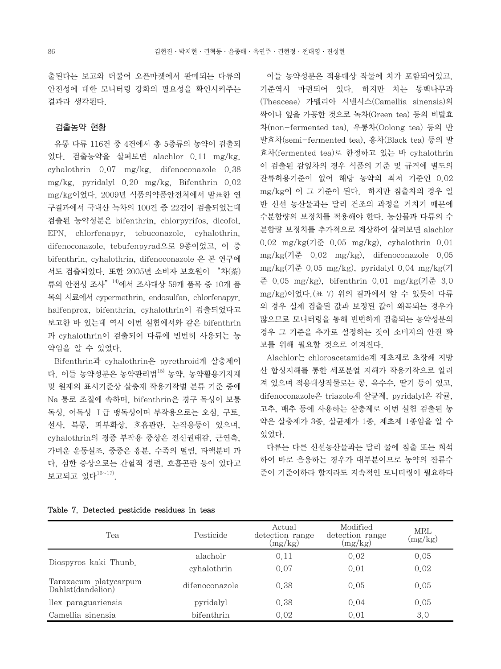출된다는 보고와 더불어 오픈마켓에서 판매되는 다류의 안전성에 대한 모니터링 강화의 필요성을 확인시켜주는 결과라 생각된다.

## 검출농약 현황

유통 다류 116건 중 4건에서 총 5종류의 농약이 검출되 었다. 검출농약을 살펴보면 alachlor 0.11 mg/kg, cyhalothrin 0.07 mg/kg, difenoconazole 0.38 mg/kg, pyridalyl 0.20 mg/kg, Bifenthrin 0.02 mg/kg이었다. 2009년 식품의약품안전처에서 발표한 연 구결과에서 국내산 녹차의 100건 중 22건이 검출되었는데 검출된 농약성분은 bifenthrin, chlorpyrifos, dicofol, EPN, chlorfenapyr, tebuconazole, cyhalothrin, difenoconazole, tebufenpyrad으로 9종이었고, 이 중 bifenthrin, cyhalothrin, difenoconazole 은 본 연구에 서도 검출되었다. 또한 2005년 소비자 보호원이 "차(茶) 류의 안전성 조사<sup>" 14)</sup>에서 조사대상 59개 품목 중 10개 품 목의 시료에서 cypermethrin, endosulfan, chlorfenapyr, halfenprox, bifenthrin, cyhalothrin이 검출되었다고 보고한 바 있는데 역시 이번 실험에서와 같은 bifenthrin 과 cyhalothrin이 검출되어 다류에 빈번히 사용되는 농 약임을 알 수 있었다.

Bifenthrin과 cyhalothrin은 pyrethroid계 살충제이 다. 이들 농약성분은 농약관리법15) 농약, 농약활용기자재 및 원제의 표시기준상 살충제 작용기작별 분류 기준 중에 Na 통로 조절에 속하며, bifenthrin은 경구 독성이 보통 독성, 어독성 Ⅰ급 맹독성이며 부작용으로는 오심, 구토, 설사, 복통, 피부화상, 호흡관란, 눈작용등이 있으며, cyhalothrin의 경증 부작용 증상은 전신권태감, 근연축, 가벼운 운동실조, 중증은 흥분, 수족의 떨림, 타액분비 과 다, 심한 증상으로는 간헐적 경련, 호흡곤란 등이 있다고 보고되고 있다16~17).

이들 농약성분은 적용대상 작물에 차가 포함되어있고, 기준역시 마련되어 있다. 하지만 차는 동백나무과 (Theaceae) 카멜리아 시넨시스(Camellia sinensis)의 싹이나 잎을 가공한 것으로 녹차(Green tea) 등의 비발효 차(non-fermented tea), 우롱차(Oolong tea) 등의 반 발효차(semi-fermented tea), 홍차(Black tea) 등의 발 효차(fermented tea)로 한정하고 있는 바 cyhalothrin 이 검출된 감잎차의 경우 식품의 기준 및 규격에 별도의 잔류허용기준이 없어 해당 농약의 최저 기준인 0.02 mg/kg이 이 그 기준이 된다. 하지만 침출차의 경우 일 반 신선 농산물과는 달리 건조의 과정을 거치기 때문에 수분함량의 보정치를 적용해야 한다. 농산물과 다류의 수 분함량 보정치를 추가적으로 계상하여 살펴보면 alachlor 0.02 mg/kg(기준 0.05 mg/kg), cyhalothrin 0.01 mg/kg(기준 0.02 mg/kg), difenoconazole 0.05 mg/kg(기준 0.05 mg/kg), pyridalyl 0.04 mg/kg(기 준 0.05 mg/kg), bifenthrin 0.01 mg/kg(기준 3.0 mg/kg)이었다.(표 7) 위의 결과에서 알 수 있듯이 다류 의 경우 실제 검출된 값과 보정된 값이 왜곡되는 경우가 많으므로 모니터링을 통해 빈번하게 검출되는 농약성분의 경우 그 기준을 추가로 설정하는 것이 소비자의 안전 확 보를 위해 필요할 것으로 여겨진다.

Alachlor는 chloroacetamide계 제초제로 초장쇄 지방 산 합성저해를 통한 세포분열 저해가 작용기작으로 알려 져 있으며 적용대상작물로는 콩, 옥수수, 딸기 등이 있고, difenoconazole은 triazole계 살균제, pyridalyl은 감귤, 고추, 배추 등에 사용하는 살충제로 이번 실험 검출된 농 약은 살충제가 3종, 살균제가 1종, 제초제 1종임을 알 수 있었다.

다류는 다른 신선농산물과는 달리 물에 침출 또는 희석 하여 바로 음용하는 경우가 대부분이므로 농약의 잔류수 준이 기준이하라 할지라도 지속적인 모니터링이 필요하다

| Tea                                        | Pesticide      | Actual<br>detection range<br>(mg/kg) | Modified<br>detection range<br>(mg/kg) | <b>MRL</b><br>(mg/kg) |
|--------------------------------------------|----------------|--------------------------------------|----------------------------------------|-----------------------|
|                                            | alacholr       | 0.11                                 | 0.02                                   | 0.05                  |
| Diospyros kaki Thunb.                      | cyhalothrin    | 0.07                                 | 0.01                                   | 0.02                  |
| Taraxacum platycarpum<br>Dahlst(dandelion) | difenoconazole | 0.38                                 | 0.05                                   | 0.05                  |
| llex paraguariensis                        | pyridalyl      | 0.38                                 | 0.04                                   | 0.05                  |
| Camellia sinensia                          | bifenthrin     | 0.02                                 | 0.01                                   | 3.0                   |

#### Table 7. Detected pesticide residues in teas